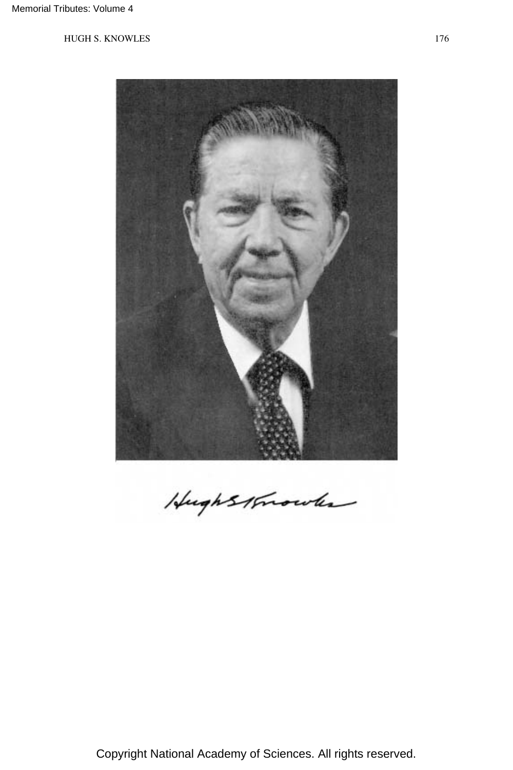

Hughstmowler

Copyright National Academy of Sciences. All rights reserved.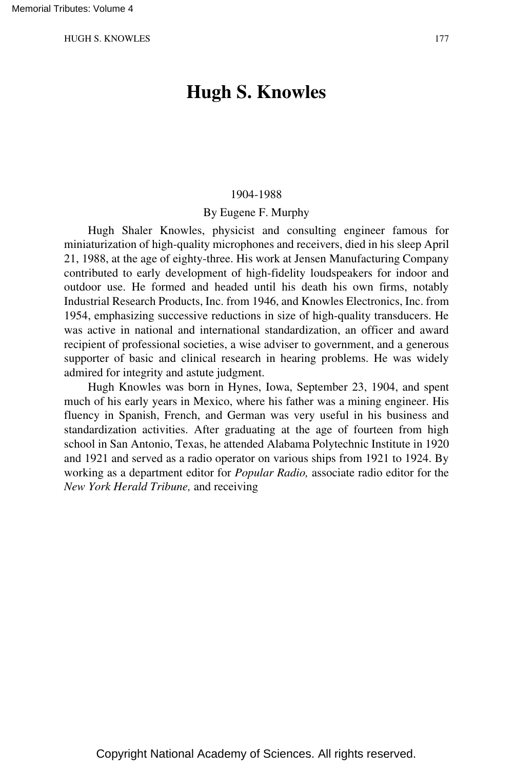# **Hugh S. Knowles**

#### 1904-1988

#### By Eugene F. Murphy

Hugh Shaler Knowles, physicist and consulting engineer famous for miniaturization of high-quality microphones and receivers, died in his sleep April 21, 1988, at the age of eighty-three. His work at Jensen Manufacturing Company contributed to early development of high-fidelity loudspeakers for indoor and outdoor use. He formed and headed until his death his own firms, notably Industrial Research Products, Inc. from 1946, and Knowles Electronics, Inc. from 1954, emphasizing successive reductions in size of high-quality transducers. He was active in national and international standardization, an officer and award recipient of professional societies, a wise adviser to government, and a generous supporter of basic and clinical research in hearing problems. He was widely admired for integrity and astute judgment.

Hugh Knowles was born in Hynes, Iowa, September 23, 1904, and spent much of his early years in Mexico, where his father was a mining engineer. His fluency in Spanish, French, and German was very useful in his business and standardization activities. After graduating at the age of fourteen from high school in San Antonio, Texas, he attended Alabama Polytechnic Institute in 1920 and 1921 and served as a radio operator on various ships from 1921 to 1924. By working as a department editor for *Popular Radio,* associate radio editor for the *New York Herald Tribune,* and receiving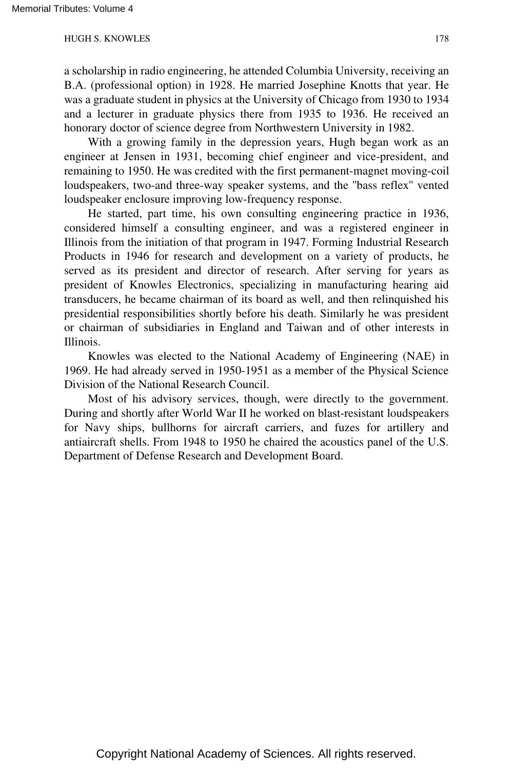a scholarship in radio engineering, he attended Columbia University, receiving an B.A. (professional option) in 1928. He married Josephine Knotts that year. He was a graduate student in physics at the University of Chicago from 1930 to 1934 and a lecturer in graduate physics there from 1935 to 1936. He received an honorary doctor of science degree from Northwestern University in 1982.

With a growing family in the depression years, Hugh began work as an engineer at Jensen in 1931, becoming chief engineer and vice-president, and remaining to 1950. He was credited with the first permanent-magnet moving-coil loudspeakers, two-and three-way speaker systems, and the ''bass reflex'' vented loudspeaker enclosure improving low-frequency response.

He started, part time, his own consulting engineering practice in 1936, considered himself a consulting engineer, and was a registered engineer in Illinois from the initiation of that program in 1947. Forming Industrial Research Products in 1946 for research and development on a variety of products, he served as its president and director of research. After serving for years as president of Knowles Electronics, specializing in manufacturing hearing aid transducers, he became chairman of its board as well, and then relinquished his presidential responsibilities shortly before his death. Similarly he was president or chairman of subsidiaries in England and Taiwan and of other interests in Illinois.

Knowles was elected to the National Academy of Engineering (NAE) in 1969. He had already served in 1950-1951 as a member of the Physical Science Division of the National Research Council.

Most of his advisory services, though, were directly to the government. During and shortly after World War II he worked on blast-resistant loudspeakers for Navy ships, bullhorns for aircraft carriers, and fuzes for artillery and antiaircraft shells. From 1948 to 1950 he chaired the acoustics panel of the U.S. Department of Defense Research and Development Board.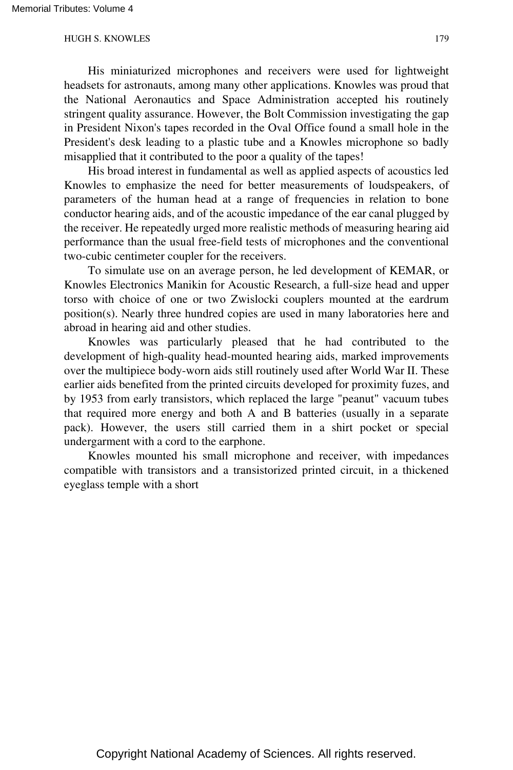His miniaturized microphones and receivers were used for lightweight headsets for astronauts, among many other applications. Knowles was proud that the National Aeronautics and Space Administration accepted his routinely stringent quality assurance. However, the Bolt Commission investigating the gap in President Nixon's tapes recorded in the Oval Office found a small hole in the President's desk leading to a plastic tube and a Knowles microphone so badly misapplied that it contributed to the poor a quality of the tapes!

His broad interest in fundamental as well as applied aspects of acoustics led Knowles to emphasize the need for better measurements of loudspeakers, of parameters of the human head at a range of frequencies in relation to bone conductor hearing aids, and of the acoustic impedance of the ear canal plugged by the receiver. He repeatedly urged more realistic methods of measuring hearing aid performance than the usual free-field tests of microphones and the conventional two-cubic centimeter coupler for the receivers.

To simulate use on an average person, he led development of KEMAR, or Knowles Electronics Manikin for Acoustic Research, a full-size head and upper torso with choice of one or two Zwislocki couplers mounted at the eardrum position(s). Nearly three hundred copies are used in many laboratories here and abroad in hearing aid and other studies.

Knowles was particularly pleased that he had contributed to the development of high-quality head-mounted hearing aids, marked improvements over the multipiece body-worn aids still routinely used after World War II. These earlier aids benefited from the printed circuits developed for proximity fuzes, and by 1953 from early transistors, which replaced the large "peanut" vacuum tubes that required more energy and both A and B batteries (usually in a separate pack). However, the users still carried them in a shirt pocket or special undergarment with a cord to the earphone.

Knowles mounted his small microphone and receiver, with impedances compatible with transistors and a transistorized printed circuit, in a thickened eyeglass temple with a short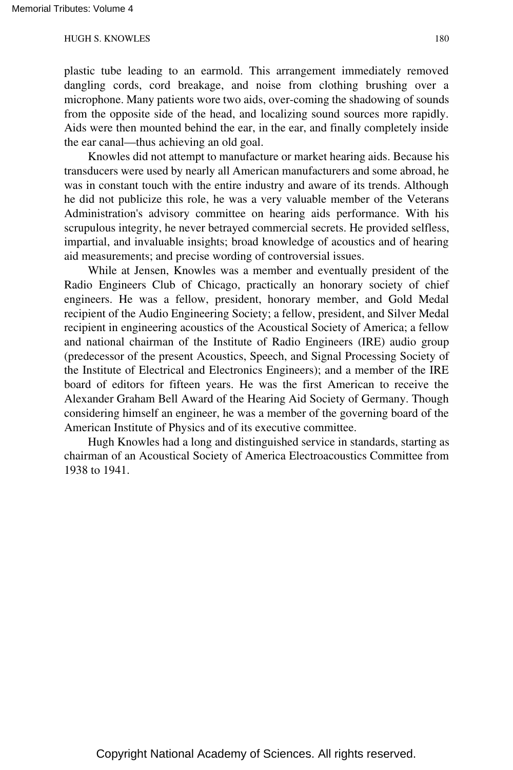plastic tube leading to an earmold. This arrangement immediately removed dangling cords, cord breakage, and noise from clothing brushing over a microphone. Many patients wore two aids, over-coming the shadowing of sounds from the opposite side of the head, and localizing sound sources more rapidly. Aids were then mounted behind the ear, in the ear, and finally completely inside the ear canal—thus achieving an old goal.

Knowles did not attempt to manufacture or market hearing aids. Because his transducers were used by nearly all American manufacturers and some abroad, he was in constant touch with the entire industry and aware of its trends. Although he did not publicize this role, he was a very valuable member of the Veterans Administration's advisory committee on hearing aids performance. With his scrupulous integrity, he never betrayed commercial secrets. He provided selfless, impartial, and invaluable insights; broad knowledge of acoustics and of hearing aid measurements; and precise wording of controversial issues.

While at Jensen, Knowles was a member and eventually president of the Radio Engineers Club of Chicago, practically an honorary society of chief engineers. He was a fellow, president, honorary member, and Gold Medal recipient of the Audio Engineering Society; a fellow, president, and Silver Medal recipient in engineering acoustics of the Acoustical Society of America; a fellow and national chairman of the Institute of Radio Engineers (IRE) audio group (predecessor of the present Acoustics, Speech, and Signal Processing Society of the Institute of Electrical and Electronics Engineers); and a member of the IRE board of editors for fifteen years. He was the first American to receive the Alexander Graham Bell Award of the Hearing Aid Society of Germany. Though considering himself an engineer, he was a member of the governing board of the American Institute of Physics and of its executive committee.

Hugh Knowles had a long and distinguished service in standards, starting as chairman of an Acoustical Society of America Electroacoustics Committee from 1938 to 1941.